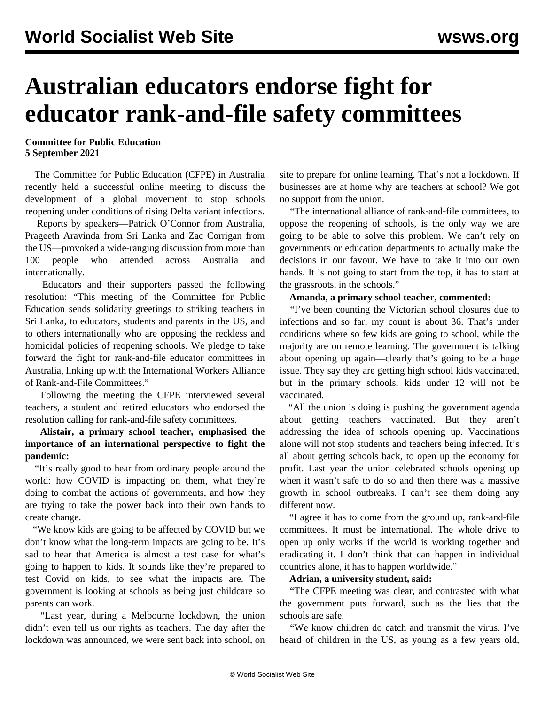# **Australian educators endorse fight for educator rank-and-file safety committees**

### **Committee for Public Education 5 September 2021**

 The Committee for Public Education (CFPE) in Australia recently held a [successful online meeting](/en/articles/2021/08/27/cont-a27.html) to discuss the development of a global movement to stop schools reopening under conditions of rising Delta variant infections.

 Reports by speakers—Patrick O'Connor from Australia, Prageeth Aravinda from Sri Lanka and Zac Corrigan from the US—provoked a wide-ranging discussion from more than 100 people who attended across Australia and internationally.

 Educators and their supporters passed the following resolution: "This meeting of the Committee for Public Education sends solidarity greetings to striking teachers in Sri Lanka, to educators, students and parents in the US, and to others internationally who are opposing the reckless and homicidal policies of reopening schools. We pledge to take forward the fight for rank-and-file educator committees in Australia, linking up with the International Workers Alliance of Rank-and-File Committees."

 Following the meeting the CFPE interviewed several teachers, a student and retired educators who endorsed the resolution calling for rank-and-file safety committees.

## **Alistair, a primary school teacher, emphasised the importance of an international perspective to fight the pandemic:**

 "It's really good to hear from ordinary people around the world: how COVID is impacting on them, what they're doing to combat the actions of governments, and how they are trying to take the power back into their own hands to create change.

 "We know kids are going to be affected by COVID but we don't know what the long-term impacts are going to be. It's sad to hear that America is almost a test case for what's going to happen to kids. It sounds like they're prepared to test Covid on kids, to see what the impacts are. The government is looking at schools as being just childcare so parents can work.

 "Last year, during a Melbourne lockdown, the union didn't even tell us our rights as teachers. The day after the lockdown was announced, we were sent back into school, on site to prepare for online learning. That's not a lockdown. If businesses are at home why are teachers at school? We got no support from the union.

 "The international alliance of rank-and-file committees, to oppose the reopening of schools, is the only way we are going to be able to solve this problem. We can't rely on governments or education departments to actually make the decisions in our favour. We have to take it into our own hands. It is not going to start from the top, it has to start at the grassroots, in the schools."

### **Amanda, a primary school teacher, commented:**

 "I've been counting the Victorian school closures due to infections and so far, my count is about 36. That's under conditions where so few kids are going to school, while the majority are on remote learning. The government is talking about opening up again—clearly that's going to be a huge issue. They say they are getting high school kids vaccinated, but in the primary schools, kids under 12 will not be vaccinated.

 "All the union is doing is pushing the government agenda about getting teachers vaccinated. But they aren't addressing the idea of schools opening up. Vaccinations alone will not stop students and teachers being infected. It's all about getting schools back, to open up the economy for profit. Last year the union celebrated schools opening up when it wasn't safe to do so and then there was a massive growth in school outbreaks. I can't see them doing any different now.

 "I agree it has to come from the ground up, rank-and-file committees. It must be international. The whole drive to open up only works if the world is working together and eradicating it. I don't think that can happen in individual countries alone, it has to happen worldwide."

## **Adrian, a university student, said:**

 "The CFPE meeting was clear, and contrasted with what the government puts forward, such as the lies that the schools are safe.

 "We know children do catch and transmit the virus. I've heard of children in the US, as young as a few years old,